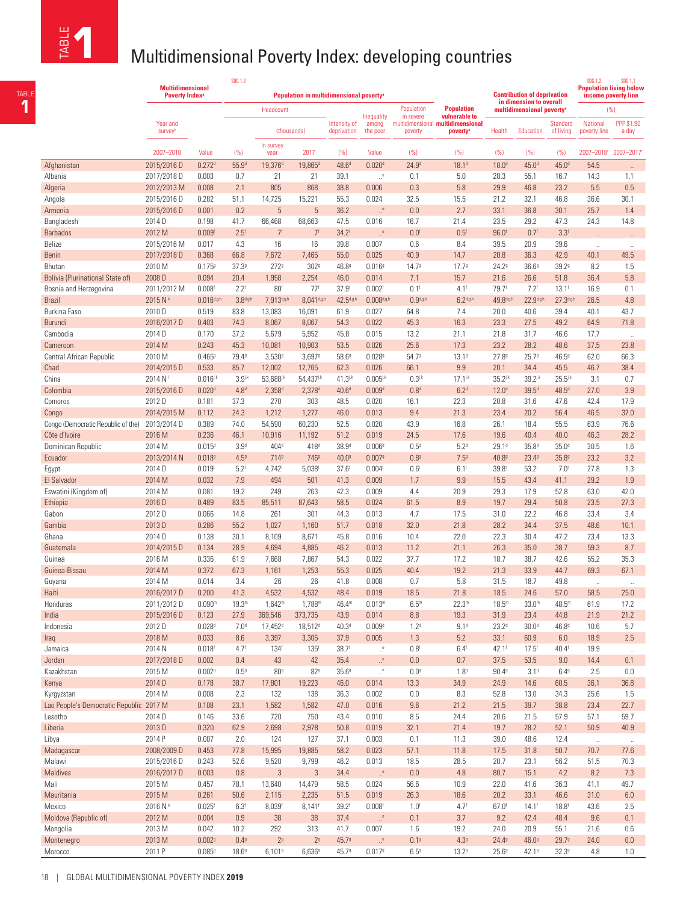TABLE **1**

## **1** Multidimensional Poverty Index: developing countries

| щ<br>$\overline{a}$<br>존                | <b>Multidimensional Poverty Index: developing countries</b> |                             |                          |                                                     |                             |                             |                                       |                                    |                                                                                                 |                                                               |                                                    |                           |                                                                                           |                                    |
|-----------------------------------------|-------------------------------------------------------------|-----------------------------|--------------------------|-----------------------------------------------------|-----------------------------|-----------------------------|---------------------------------------|------------------------------------|-------------------------------------------------------------------------------------------------|---------------------------------------------------------------|----------------------------------------------------|---------------------------|-------------------------------------------------------------------------------------------|------------------------------------|
|                                         | <b>Multidimensional</b><br><b>Poverty Index<sup>®</sup></b> |                             | <b>SDG 1.2</b>           | Population in multidimensional poverty <sup>®</sup> |                             |                             |                                       |                                    |                                                                                                 | <b>Contribution of deprivation</b><br>in dimension to overall |                                                    |                           | <b>SDG 1.2</b><br><b>SDG 1.1</b><br><b>Population living below</b><br>income poverty line |                                    |
|                                         | Year and<br>survey <sup>b</sup>                             |                             |                          | Headcount<br>(thousands)                            |                             | Intensity of<br>deprivation | Inequality<br>among<br>the poor       | Population<br>in severe<br>poverty | <b>Population</b><br>vulnerable to<br>multidimensional multidimensional<br>poverty <sup>®</sup> | Health                                                        | multidimensional poverty <sup>®</sup><br>Education | Standard<br>of living     | National<br>poverty line                                                                  | (% )<br><b>PPP \$1.90</b><br>a day |
|                                         | 2007-2018                                                   | Value                       | (% )                     | In survey<br>year                                   | 2017                        | (%)                         | Value                                 | (% )                               | (% )                                                                                            | (% )                                                          | (% )                                               | (% )                      | 2007-2018° 2007-2017                                                                      |                                    |
| Afghanistan                             | 2015/2016 D                                                 | 0.272 <sup>d</sup>          | 55.9 <sup>d</sup>        | 19,376 <sup>d</sup>                                 | 19,865 <sup>d</sup>         | 48.6 <sup>d</sup>           | 0.020 <sup>d</sup>                    | 24.9 <sup>d</sup>                  | 18.1 <sup>d</sup>                                                                               | 10.0 <sup>d</sup>                                             | 45.0 <sup>d</sup>                                  | 45.0 <sup>d</sup>         | 54.5                                                                                      | $\ddotsc$                          |
| Albania                                 | 2017/2018 D                                                 | 0.003                       | 0.7                      | 21                                                  | 21                          | 39.1                        | $\cdot^{\circ}$                       | 0.1                                | 5.0                                                                                             | 28.3                                                          | 55.1                                               | 16.7                      | 14.3                                                                                      | 1.1                                |
| Algeria                                 | 2012/2013 M                                                 | 0.008                       | 2.1                      | 805                                                 | 868                         | 38.8                        | 0.006                                 | 0.3                                | 5.8                                                                                             | 29.9                                                          | 46.8                                               | 23.2                      | 5.5                                                                                       | 0.5                                |
| Angola                                  | 2015/2016 D                                                 | 0.282                       | 51.1                     | 14,725                                              | 15,221                      | 55.3                        | 0.024                                 | 32.5                               | 15.5                                                                                            | 21.2                                                          | 32.1                                               | 46.8                      | 36.6                                                                                      | 30.1                               |
| Armenia                                 | 2015/2016 D                                                 | 0.001                       | 0.2                      | $\sqrt{5}$                                          | $\sqrt{5}$                  | 36.2                        | $\cdot^\mathrm{e}$                    | 0.0                                | 2.7                                                                                             | 33.1                                                          | 36.8                                               | 30.1                      | 25.7                                                                                      | 1.4                                |
| Bangladesh                              | 2014 D                                                      | 0.198                       | 41.7                     | 66,468                                              | 68,663                      | 47.5                        | 0.016                                 | 16.7                               | 21.4                                                                                            | 23.5                                                          | 29.2                                               | 47.3                      | 24.3                                                                                      | 14.8                               |
| <b>Barbados</b>                         | 2012 M                                                      | 0.009 <sup>f</sup>          | 2.5 <sup>f</sup><br>4.3  | 7 <sup>f</sup><br>16                                | 7 <sup>f</sup>              | 34.2 <sup>6</sup><br>39.8   | $\cdot$ e<br>0.007                    | 0.0 <sup>f</sup>                   | 0.5 <sup>f</sup>                                                                                | 96.0 <sup>6</sup><br>39.5                                     | 0.7 <sup>f</sup>                                   | 3.3 <sup>f</sup><br>39.6  |                                                                                           |                                    |
| Belize<br><b>Benin</b>                  | 2015/2016 M<br>2017/2018 D                                  | 0.017<br>0.368              | 66.8                     | 7,672                                               | 16<br>7,465                 | 55.0                        | 0.025                                 | 0.6<br>40.9                        | 8.4<br>14.7                                                                                     | 20.8                                                          | 20.9<br>36.3                                       | 42.9                      | $\ldots$<br>40.1                                                                          | $\ddot{\phantom{0}}$<br>49.5       |
| Bhutan                                  | 2010 M                                                      | 0.1759                      | 37.39                    | 2729                                                | 302 <sup>9</sup>            | 46.89                       | 0.0169                                | 14.79                              | 17.79                                                                                           | 24.29                                                         | 36.69                                              | 39.2 <sup>g</sup>         | 8.2                                                                                       | 1.5                                |
| <b>Bolivia (Plurinational State of)</b> | 2008 D                                                      | 0.094                       | 20.4                     | 1,958                                               | 2,254                       | 46.0                        | 0.014                                 | 7.1                                | 15.7                                                                                            | 21.6                                                          | 26.6                                               | 51.8                      | 36.4                                                                                      | 5.8                                |
| Bosnia and Herzegovina                  | 2011/2012 M                                                 | 0.008 <sup>f</sup>          | $2.2^f$                  | 80 <sup>6</sup>                                     | $77^f$                      | 37.9 <sup>†</sup>           | 0.002 <sup>6</sup>                    | $0.1^f$                            | $4.1^{\dagger}$                                                                                 | 79.7 <sup>6</sup>                                             | 7.2 <sup>6</sup>                                   | $13.1^{\dagger}$          | 16.9                                                                                      | 0.1                                |
| <b>Brazil</b>                           | 2015 Nh                                                     | $0.016^{d.g.h}$             | $3.8^{d.g.}$             | 7,913d,g,h                                          | 8,041d,g,t                  | 42.5d,g,l                   | $0.008^{d,gh}$                        | 0.9 <sup>d, g, h</sup>             | $6.2^{d,gh}$                                                                                    | 49.8 <sup>d,g,h</sup>                                         | 22.9d,g.h                                          | 27.3d,g,h                 | 26.5                                                                                      | 4.8                                |
| Burkina Faso                            | 2010 D                                                      | 0.519                       | 83.8                     | 13,083                                              | 16,091                      | 61.9                        | 0.027                                 | 64.8                               | 7.4                                                                                             | 20.0                                                          | 40.6                                               | 39.4                      | 40.1                                                                                      | 43.7                               |
| Burundi                                 | 2016/2017 D                                                 | 0.403                       | 74.3                     | 8,067                                               | 8,067                       | 54.3                        | 0.022                                 | 45.3                               | 16.3                                                                                            | 23.3                                                          | 27.5                                               | 49.2                      | 64.9                                                                                      | 71.8                               |
| Cambodia                                | 2014 D                                                      | 0.170                       | 37.2                     | 5,679                                               | 5,952                       | 45.8                        | 0.015                                 | 13.2                               | 21.1                                                                                            | 21.8                                                          | 31.7                                               | 46.6                      | 17.7                                                                                      | $\mathcal{A}$                      |
| Cameroon                                | 2014 M                                                      | 0.243                       | 45.3                     | 10,081                                              | 10,903                      | 53.5                        | 0.026                                 | 25.6                               | 17.3                                                                                            | 23.2                                                          | 28.2                                               | 48.6                      | 37.5                                                                                      | 23.8                               |
| Central African Republic                | 2010 M                                                      | 0.4659                      | 79.49                    | $3,530$ <sup>9</sup>                                | 3,6979                      | 58.6 <sup>g</sup>           | 0.0289                                | 54.79                              | 13.19                                                                                           | 27.89                                                         | 25.79                                              | $46.5^{\circ}$            | 62.0                                                                                      | 66.3                               |
| Chad                                    | 2014/2015 D                                                 | 0.533                       | 85.7                     | 12,002                                              | 12,765                      | 62.3                        | 0.026                                 | 66.1                               | 9.9                                                                                             | 20.1                                                          | 34.4                                               | 45.5                      | 46.7                                                                                      | 38.4                               |
| China                                   | 2014 N                                                      | $0.016^{j,k}$               | $3.9^{j.k}$              | 53,688i.k                                           | 54,437 <sup>j,k</sup>       | $41.3^{j.k}$                | $0.005^{j,k}$                         | $0.3^{j.k}$                        | $17.1^{j.k}$                                                                                    | $35.2^{j.8}$                                                  | 39.2ik                                             | $25.5^{j,k}$              | 3.1                                                                                       | 0.7                                |
| Colombia<br>Comoros                     | 2015/2016 D<br>2012 D                                       | 0.020 <sup>d</sup><br>0.181 | 4.8 <sup>d</sup><br>37.3 | $2,358^{\circ}$<br>270                              | $2,378$ <sup>d</sup><br>303 | 40.6 <sup>d</sup><br>48.5   | 0.009 <sup>d</sup><br>0.020           | 0.8 <sup>d</sup><br>16.1           | 6.2 <sup>d</sup><br>22.3                                                                        | 12.0 <sup>d</sup><br>20.8                                     | $39.5^{\circ}$<br>31.6                             | 48.5 <sup>d</sup><br>47.6 | 27.0<br>42.4                                                                              | 3.9<br>17.9                        |
| Congo                                   | 2014/2015 M                                                 | 0.112                       | 24.3                     | 1,212                                               | 1,277                       | 46.0                        | 0.013                                 | 9.4                                | 21.3                                                                                            | 23.4                                                          | 20.2                                               | 56.4                      | 46.5                                                                                      | 37.0                               |
| Congo (Democratic Republic of the)      | 2013/2014 D                                                 | 0.389                       | 74.0                     | 54,590                                              | 60,230                      | 52.5                        | 0.020                                 | 43.9                               | 16.8                                                                                            | 26.1                                                          | 18.4                                               | 55.5                      | 63.9                                                                                      | 76.6                               |
| Côte d'Ivoire                           | 2016 M                                                      | 0.236                       | 46.1                     | 10,916                                              | 11,192                      | 51.2                        | 0.019                                 | 24.5                               | 17.6                                                                                            | 19.6                                                          | 40.4                                               | 40.0                      | 46.3                                                                                      | 28.2                               |
| Dominican Republic                      | 2014 M                                                      | 0.015 <sup>d</sup>          | 3.9 <sup>d</sup>         | 404 <sup>d</sup>                                    | 418 <sup>d</sup>            | 38.9 <sup>d</sup>           | $0.006^{\circ}$                       | 0.5 <sup>d</sup>                   | 5.2 <sup>d</sup>                                                                                | 29.1 <sup>d</sup>                                             | 35.8 <sup>d</sup>                                  | 35.0 <sup>d</sup>         | 30.5                                                                                      | 1.6                                |
| Ecuador                                 | 2013/2014 N                                                 | 0.0189                      | 4.59                     | 7149                                                | 746 <sup>g</sup>            | 40.0 <sup>g</sup>           | 0.0079                                | 0.89                               | 7.59                                                                                            | 40.89                                                         | 23.49                                              | 35.89                     | 23.2                                                                                      | 3.2                                |
| Egypt                                   | 2014 D                                                      | 0.019                       | 5.2 <sup>1</sup>         | 4,742                                               | 5,038                       | $37.6^{\circ}$              | 0.004                                 | $0.6^{\circ}$                      | 6.1 <sup>1</sup>                                                                                | 39.8 <sup>1</sup>                                             | 53.2 <sup>1</sup>                                  | 7.0 <sup>1</sup>          | 27.8                                                                                      | 1.3                                |
| El Salvador                             | 2014 M                                                      | 0.032                       | 7.9                      | 494                                                 | 501                         | 41.3                        | 0.009                                 | 1.7                                | 9.9                                                                                             | 15.5                                                          | 43.4                                               | 41.1                      | 29.2                                                                                      | 1.9                                |
| Eswatini (Kingdom of)                   | 2014 M                                                      | 0.081                       | 19.2                     | 249                                                 | 263                         | 42.3                        | 0.009                                 | 4.4                                | 20.9                                                                                            | 29.3                                                          | 17.9                                               | 52.8                      | 63.0                                                                                      | 42.0                               |
| Ethiopia                                | 2016 D                                                      | 0.489                       | 83.5                     | 85,511                                              | 87,643                      | 58.5                        | 0.024                                 | 61.5                               | 8.9                                                                                             | 19.7                                                          | 29.4                                               | 50.8                      | 23.5                                                                                      | 27.3                               |
| Gabon<br>Gambia                         | 2012 D<br>2013 D                                            | 0.066<br>0.286              | 14.8<br>55.2             | 261                                                 | 301<br>1,160                | 44.3<br>51.7                | 0.013<br>0.018                        | 4.7<br>32.0                        | 17.5<br>21.8                                                                                    | 31.0<br>28.2                                                  | 22.2<br>34.4                                       | 46.8<br>37.5              | 33.4<br>48.6                                                                              | 3.4<br>10.1                        |
| Ghana                                   | 2014 D                                                      | 0.138                       | 30.1                     | 1,027<br>8,109                                      | 8,671                       | 45.8                        | 0.016                                 | 10.4                               | 22.0                                                                                            | 22.3                                                          | 30.4                                               | 47.2                      | 23.4                                                                                      | 13.3                               |
| Guatemala                               | 2014/2015D                                                  | 0.134                       | 28.9                     | 4,694                                               | 4,885                       | 46.2                        | 0.013                                 | 11.2                               | 21.1                                                                                            | 26.3                                                          | 35.0                                               | 38.7                      | 59.3                                                                                      | 8.7                                |
| Guinea                                  | 2016 M                                                      | 0.336                       | 61.9                     | 7,668                                               | 7,867                       | 54.3                        | 0.022                                 | 37.7                               | 17.2                                                                                            | 18.7                                                          | 38.7                                               | 42.6                      | 55.2                                                                                      | 35.3                               |
| Guinea-Bissau                           | 2014 M                                                      | 0.372                       | 67.3                     | 1,161                                               | 1,253                       | 55.3                        | 0.025                                 | 40.4                               | 19.2                                                                                            | 21.3                                                          | 33.9                                               | 44.7                      | 69.3                                                                                      | 67.1                               |
| Guyana                                  | 2014 M                                                      | 0.014                       | 3.4                      | 26                                                  | 26                          | 41.8                        | 0.008                                 | 0.7                                | 5.8                                                                                             | 31.5                                                          | 18.7                                               | 49.8                      | $\mathcal{L}$                                                                             | $\ldots$                           |
| Haiti                                   | 2016/2017 D                                                 | 0.200                       | 41.3                     | 4,532                                               | 4,532                       | 48.4                        | 0.019                                 | 18.5                               | 21.8                                                                                            | 18.5                                                          | 24.6                                               | 57.0                      | 58.5                                                                                      | 25.0                               |
| Honduras                                | 2011/2012 D                                                 | 0.090 <sup>m</sup>          | 19.3 <sup>m</sup>        | $1,642$ <sup>m</sup>                                | $1,788^m$                   | 46.4 <sup>m</sup>           | 0.013 <sup>m</sup>                    | 6.5 <sup>m</sup>                   | $22.3^m$                                                                                        | 18.5 <sup>m</sup>                                             | 33.0 <sup>m</sup>                                  | $48.5^m$                  | 61.9                                                                                      | 17.2                               |
| India                                   | 2015/2016 D                                                 | 0.123                       | 27.9                     | 369,546                                             | 373,735                     | 43.9                        | 0.014                                 | 8.8                                | 19.3                                                                                            | 31.9                                                          | 23.4                                               | 44.8                      | 21.9                                                                                      | 21.2                               |
| Indonesia                               | 2012 D                                                      | 0.028 <sup>d</sup>          | 7.0 <sup>d</sup>         | 17,452 <sup>d</sup>                                 | 18,512 <sup>d</sup>         | 40.3 <sup>d</sup>           | 0.009 <sup>d</sup>                    | 1.2 <sup>d</sup>                   | 9.1 <sup>d</sup>                                                                                | 23.2 <sup>d</sup>                                             | 30.0 <sup>d</sup>                                  | 46.8 <sup>d</sup>         | 10.6                                                                                      | 5.7                                |
| Iraq                                    | 2018 M                                                      | 0.033                       | 8.6                      | 3,397                                               | 3,305                       | 37.9                        | 0.005                                 | 1.3                                | 5.2                                                                                             | 33.1                                                          | 60.9                                               | 6.0                       | 18.9                                                                                      | 2.5                                |
| Jamaica                                 | 2014 N                                                      | 0.018 <sup>f</sup>          | 4.7 <sup>1</sup>         | 134 <sup>f</sup><br>43                              | 135 <sup>f</sup>            | 38.7 <sup>†</sup>           | $\ldots^{\mathsf{e}}$                 | 0.8 <sup>f</sup>                   | 6.4 <sup>†</sup>                                                                                | 42.1 <sup>f</sup>                                             | $17.5^{\circ}$                                     | 40.4 <sup>†</sup><br>9.0  | 19.9                                                                                      | $\bar{a}$<br>0.1                   |
| Jordan<br>Kazakhstan                    | 2017/2018 D<br>2015 M                                       | 0.002<br>0.0029             | 0.4<br>0.59              | 80 <sup>9</sup>                                     | 42<br>82 <sup>9</sup>       | 35.4<br>35.69               | $\cdot .^{\circ}$<br>$\ldots^{\rm e}$ | 0.0<br>$0.0^\text{g}$              | 0.7<br>1.89                                                                                     | 37.5<br>90.49                                                 | 53.5<br>3.19                                       | 6.49                      | 14.4<br>2.5                                                                               | 0.0                                |
| Kenya                                   | 2014 D                                                      | 0.178                       | 38.7                     | 17,801                                              | 19,223                      | 46.0                        | 0.014                                 | 13.3                               | 34.9                                                                                            | 24.9                                                          | 14.6                                               | 60.5                      | 36.1                                                                                      | 36.8                               |
| Kyrgyzstan                              | 2014 M                                                      | 0.008                       | 2.3                      | 132                                                 | 138                         | 36.3                        | 0.002                                 | 0.0                                | 8.3                                                                                             | 52.8                                                          | 13.0                                               | 34.3                      | 25.6                                                                                      | 1.5                                |
| Lao People's Democratic Republic 2017 M |                                                             | 0.108                       | 23.1                     | 1,582                                               | 1,582                       | 47.0                        | 0.016                                 | 9.6                                | 21.2                                                                                            | 21.5                                                          | 39.7                                               | 38.8                      | 23.4                                                                                      | 22.7                               |
| Lesotho                                 | 2014 D                                                      | 0.146                       | 33.6                     | 720                                                 | 750                         | 43.4                        | 0.010                                 | 8.5                                | 24.4                                                                                            | 20.6                                                          | 21.5                                               | 57.9                      | 57.1                                                                                      | 59.7                               |
| Liberia                                 | 2013 D                                                      | 0.320                       | 62.9                     | 2,698                                               | 2,978                       | 50.8                        | 0.019                                 | 32.1                               | 21.4                                                                                            | 19.7                                                          | 28.2                                               | 52.1                      | 50.9                                                                                      | 40.9                               |
| Libya                                   | 2014 P                                                      | 0.007                       | 2.0                      | 124                                                 | 127                         | 37.1                        | 0.003                                 | $0.1\,$                            | 11.3                                                                                            | 39.0                                                          | 48.6                                               | 12.4                      | $\bar{u}$                                                                                 | $\ldots$                           |
| Madagascar                              | 2008/2009 D                                                 | 0.453                       | 77.8                     | 15,995                                              | 19,885                      | 58.2                        | 0.023                                 | 57.1                               | 11.8                                                                                            | 17.5                                                          | 31.8                                               | 50.7                      | 70.7                                                                                      | 77.6                               |
| Malawi                                  | 2015/2016 D                                                 | 0.243                       | 52.6                     | 9,520                                               | 9,799                       | 46.2                        | 0.013                                 | 18.5                               | 28.5                                                                                            | 20.7                                                          | 23.1                                               | 56.2                      | 51.5                                                                                      | 70.3                               |
| Maldives                                | 2016/2017 D                                                 | 0.003                       | 0.8                      | $\sqrt{3}$                                          | $\sqrt{3}$                  | 34.4                        | $\cdot^\mathrm{e}$                    | 0.0                                | 4.8                                                                                             | 80.7                                                          | 15.1                                               | 4.2                       | 8.2                                                                                       | 7.3                                |
| Mali                                    | 2015 M                                                      | 0.457                       | 78.1                     | 13,640                                              | 14,479                      | 58.5                        | 0.024                                 | 56.6                               | 10.9                                                                                            | 22.0                                                          | 41.6                                               | 36.3                      | 41.1                                                                                      | 49.7                               |
| Mauritania                              | 2015 M                                                      | 0.261                       | 50.6                     | 2,115                                               | 2,235                       | 51.5                        | 0.019                                 | 26.3                               | 18.6                                                                                            | 20.2                                                          | 33.1                                               | 46.6                      | 31.0                                                                                      | 6.0                                |
| Mexico                                  | 2016 N <sup>n</sup>                                         | 0.025 <sup>f</sup>          | 6.3 <sup>f</sup>         | 8,039f                                              | $8,141$ <sup>f</sup>        | 39.2 <sup>†</sup>           | 0.008 <sup>6</sup>                    | 1.0 <sup>f</sup>                   | 4.7 <sup>6</sup><br>3.7                                                                         | 67.0 <sup>6</sup>                                             | 14.1 <sup>†</sup>                                  | 18.8 <sup>†</sup>         | 43.6                                                                                      | 2.5                                |
| Moldova (Republic of)<br>Mongolia       | 2012 M<br>2013 M                                            | 0.004<br>0.042              | 0.9<br>10.2              | 38<br>292                                           | 38<br>313                   | 37.4<br>41.7                | $\cdot^\mathrm{e}$<br>0.007           | 0.1<br>1.6                         | 19.2                                                                                            | 9.2<br>24.0                                                   | 42.4<br>20.9                                       | 48.4<br>55.1              | 9.6<br>21.6                                                                               | 0.1<br>0.6                         |
| Montenegro                              | 2013 M                                                      | 0.0029                      | 0.49                     | 2 <sup>9</sup>                                      | 2 <sup>9</sup>              | 45.79                       | $\cdot^\mathrm{e}$                    | 0.19                               | 4.39                                                                                            | 24.49                                                         | 46.0 <sup>g</sup>                                  | 29.79                     | 24.0                                                                                      | 0.0                                |
| Morocco                                 | 2011 P                                                      | 0.0859                      | 18.69                    | 6,1019                                              | 6,6369                      | 45.79                       | 0.0179                                | 6.59                               | 13.29                                                                                           | 25.69                                                         | 42.19                                              | 32.39                     | 4.8                                                                                       | 1.0                                |